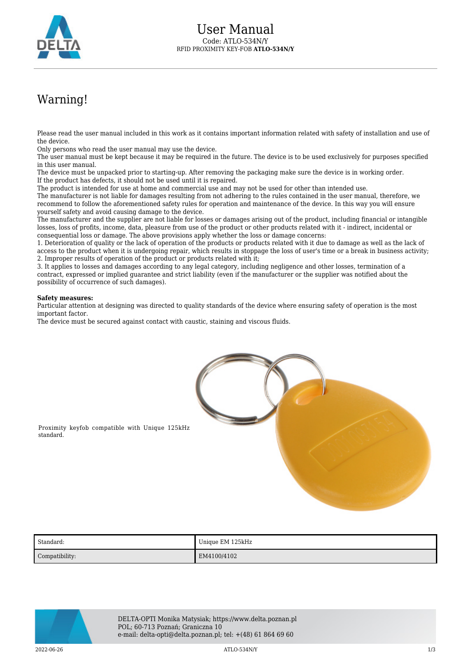

## Warning!

Please read the user manual included in this work as it contains important information related with safety of installation and use of the device.

Only persons who read the user manual may use the device.

The user manual must be kept because it may be required in the future. The device is to be used exclusively for purposes specified in this user manual.

The device must be unpacked prior to starting-up. After removing the packaging make sure the device is in working order. If the product has defects, it should not be used until it is repaired.

The product is intended for use at home and commercial use and may not be used for other than intended use.

The manufacturer is not liable for damages resulting from not adhering to the rules contained in the user manual, therefore, we recommend to follow the aforementioned safety rules for operation and maintenance of the device. In this way you will ensure yourself safety and avoid causing damage to the device.

The manufacturer and the supplier are not liable for losses or damages arising out of the product, including financial or intangible losses, loss of profits, income, data, pleasure from use of the product or other products related with it - indirect, incidental or consequential loss or damage. The above provisions apply whether the loss or damage concerns:

1. Deterioration of quality or the lack of operation of the products or products related with it due to damage as well as the lack of access to the product when it is undergoing repair, which results in stoppage the loss of user's time or a break in business activity; 2. Improper results of operation of the product or products related with it;

3. It applies to losses and damages according to any legal category, including negligence and other losses, termination of a contract, expressed or implied guarantee and strict liability (even if the manufacturer or the supplier was notified about the possibility of occurrence of such damages).

## **Safety measures:**

Particular attention at designing was directed to quality standards of the device where ensuring safety of operation is the most important factor.

The device must be secured against contact with caustic, staining and viscous fluids.



Proximity keyfob compatible with Unique 125kHz standard.

| <b>Standard:</b> | Unique EM 125kHz |
|------------------|------------------|
| Compatibility:   | EM4100/4102      |



DELTA-OPTI Monika Matysiak; https://www.delta.poznan.pl POL; 60-713 Poznań; Graniczna 10 e-mail: delta-opti@delta.poznan.pl; tel: +(48) 61 864 69 60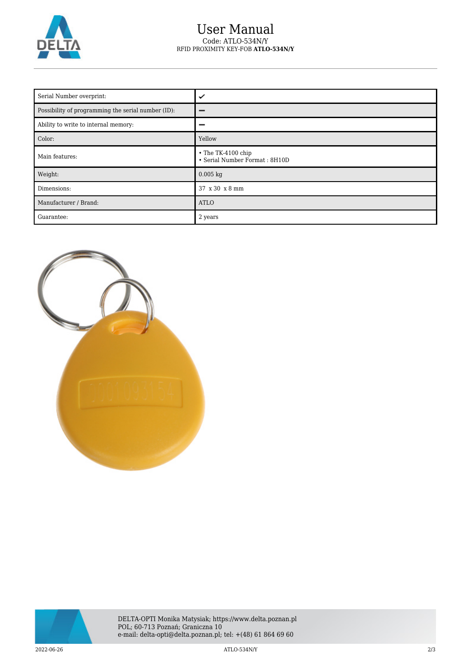

## User Manual Code: ATLO-534N/Y RFID PROXIMITY KEY-FOB **ATLO-534N/Y**

| Serial Number overprint:                           | ✓                                                   |
|----------------------------------------------------|-----------------------------------------------------|
| Possibility of programming the serial number (ID): |                                                     |
| Ability to write to internal memory:               |                                                     |
| Color:                                             | Yellow                                              |
| Main features:                                     | • The TK-4100 chip<br>• Serial Number Format: 8H10D |
| Weight:                                            | $0.005$ kg                                          |
| Dimensions:                                        | 37 x 30 x 8 mm                                      |
| Manufacturer / Brand:                              | <b>ATLO</b>                                         |
| Guarantee:                                         | 2 years                                             |